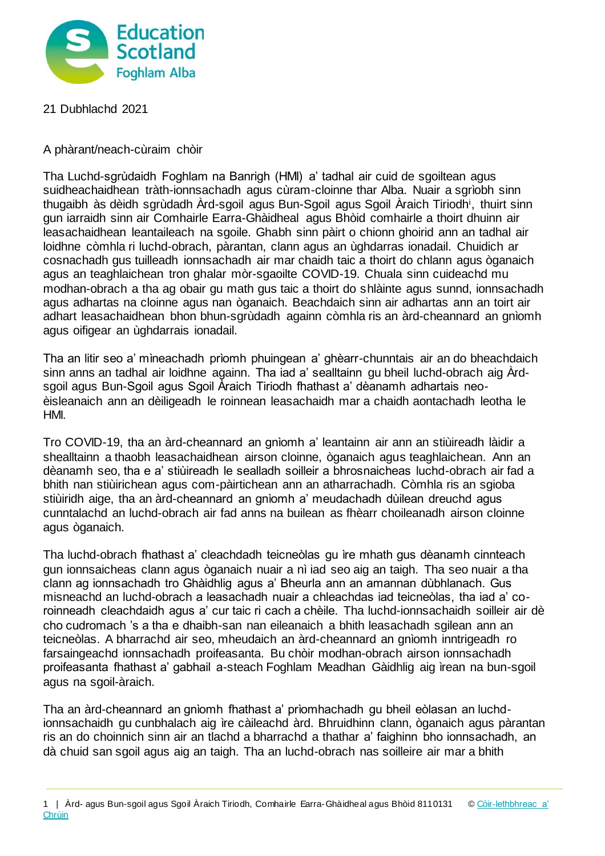

## 21 Dubhlachd 2021

## A phàrant/neach-cùraim chòir

Tha Luchd-sgrùdaidh Foghlam na Banrigh (HMI) a' tadhal air cuid de sgoiltean agus suidheachaidhean tràth-ionnsachadh agus cùram-cloinne thar Alba. Nuair a sgrìobh sinn thugaibh às dèidh sgrùdadh Ard-sgoil agus Bun-Sgoil agus Sgoil Araich Tiriodh<sup>i</sup>, thuirt sinn gun iarraidh sinn air Comhairle Earra-Ghàidheal agus Bhòid comhairle a thoirt dhuinn air leasachaidhean leantaileach na sgoile. Ghabh sinn pàirt o chionn ghoirid ann an tadhal air loidhne còmhla ri luchd-obrach, pàrantan, clann agus an ùghdarras ionadail. Chuidich ar cosnachadh gus tuilleadh ionnsachadh air mar chaidh taic a thoirt do chlann agus òganaich agus an teaghlaichean tron ghalar mòr-sgaoilte COVID-19. Chuala sinn cuideachd mu modhan-obrach a tha ag obair gu math gus taic a thoirt do shlàinte agus sunnd, ionnsachadh agus adhartas na cloinne agus nan òganaich. Beachdaich sinn air adhartas ann an toirt air adhart leasachaidhean bhon bhun-sgrùdadh againn còmhla ris an àrd-cheannard an gnìomh agus oifigear an ùghdarrais ionadail.

Tha an litir seo a' mìneachadh prìomh phuingean a' ghèarr-chunntais air an do bheachdaich sinn anns an tadhal air loidhne againn. Tha iad a' sealltainn gu bheil luchd-obrach aig Àrdsgoil agus Bun-Sgoil agus Sgoil Àraich Tiriodh fhathast a' dèanamh adhartais neoèisleanaich ann an dèiligeadh le roinnean leasachaidh mar a chaidh aontachadh leotha le HMI.

Tro COVID-19, tha an àrd-cheannard an gnìomh a' leantainn air ann an stiùireadh làidir a shealltainn a thaobh leasachaidhean airson cloinne, òganaich agus teaghlaichean. Ann an dèanamh seo, tha e a' stiùireadh le sealladh soilleir a bhrosnaicheas luchd-obrach air fad a bhith nan stiùirichean agus com-pàirtichean ann an atharrachadh. Còmhla ris an sgioba stiùiridh aige, tha an àrd-cheannard an gnìomh a' meudachadh dùilean dreuchd agus cunntalachd an luchd-obrach air fad anns na builean as fhèarr choileanadh airson cloinne agus òganaich.

Tha luchd-obrach fhathast a' cleachdadh teicneòlas gu ìre mhath gus dèanamh cinnteach gun ionnsaicheas clann agus òganaich nuair a nì iad seo aig an taigh. Tha seo nuair a tha clann ag ionnsachadh tro Ghàidhlig agus a' Bheurla ann an amannan dùbhlanach. Gus misneachd an luchd-obrach a leasachadh nuair a chleachdas iad teicneòlas, tha iad a' coroinneadh cleachdaidh agus a' cur taic ri cach a chèile. Tha luchd-ionnsachaidh soilleir air dè cho cudromach 's a tha e dhaibh-san nan eileanaich a bhith leasachadh sgilean ann an teicneòlas. A bharrachd air seo, mheudaich an àrd-cheannard an gnìomh inntrigeadh ro farsaingeachd ionnsachadh proifeasanta. Bu chòir modhan-obrach airson ionnsachadh proifeasanta fhathast a' gabhail a-steach Foghlam Meadhan Gàidhlig aig ìrean na bun-sgoil agus na sgoil-àraich.

Tha an àrd-cheannard an gnìomh fhathast a' prìomhachadh gu bheil eòlasan an luchdionnsachaidh gu cunbhalach aig ìre càileachd àrd. Bhruidhinn clann, òganaich agus pàrantan ris an do choinnich sinn air an tlachd a bharrachd a thathar a' faighinn bho ionnsachadh, an dà chuid san sgoil agus aig an taigh. Tha an luchd-obrach nas soilleire air mar a bhith

<sup>1 |</sup> Àrd- agus Bun-sgoil agus Sgoil Àraich Tiriodh, Comhairle Earra-Ghàidheal agus Bhòid 8110131 © Còir-lethbhreac a' **[Chrùin](https://education.gov.scot/terms-of-use)**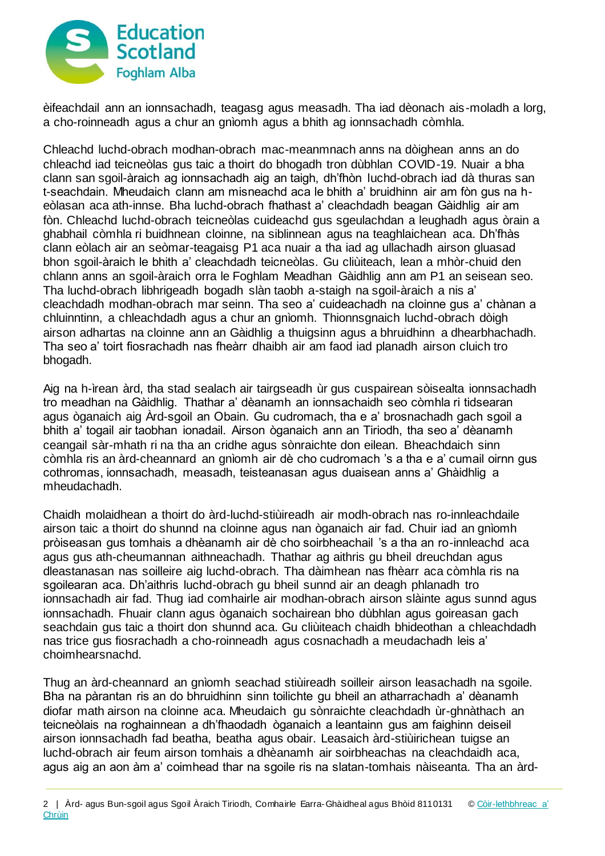

èifeachdail ann an ionnsachadh, teagasg agus measadh. Tha iad dèonach ais-moladh a lorg, a cho-roinneadh agus a chur an gnìomh agus a bhith ag ionnsachadh còmhla.

Chleachd luchd-obrach modhan-obrach mac-meanmnach anns na dòighean anns an do chleachd iad teicneòlas gus taic a thoirt do bhogadh tron dùbhlan COVID-19. Nuair a bha clann san sgoil-àraich ag ionnsachadh aig an taigh, dh'fhòn luchd-obrach iad dà thuras san t-seachdain. Mheudaich clann am misneachd aca le bhith a' bruidhinn air am fòn gus na heòlasan aca ath-innse. Bha luchd-obrach fhathast a' cleachdadh beagan Gàidhlig air am fòn. Chleachd luchd-obrach teicneòlas cuideachd gus sgeulachdan a leughadh agus òrain a ghabhail còmhla ri buidhnean cloinne, na siblinnean agus na teaghlaichean aca. Dh'fhàs clann eòlach air an seòmar-teagaisg P1 aca nuair a tha iad ag ullachadh airson gluasad bhon sgoil-àraich le bhith a' cleachdadh teicneòlas. Gu cliùiteach, lean a mhòr-chuid den chlann anns an sgoil-àraich orra le Foghlam Meadhan Gàidhlig ann am P1 an seisean seo. Tha luchd-obrach libhrigeadh bogadh slàn taobh a-staigh na sgoil-àraich a nis a' cleachdadh modhan-obrach mar seinn. Tha seo a' cuideachadh na cloinne gus a' chànan a chluinntinn, a chleachdadh agus a chur an gnìomh. Thionnsgnaich luchd-obrach dòigh airson adhartas na cloinne ann an Gàidhlig a thuigsinn agus a bhruidhinn a dhearbhachadh. Tha seo a' toirt fiosrachadh nas fheàrr dhaibh air am faod iad planadh airson cluich tro bhogadh.

Aig na h-ìrean àrd, tha stad sealach air tairgseadh ùr gus cuspairean sòisealta ionnsachadh tro meadhan na Gàidhlig. Thathar a' dèanamh an ionnsachaidh seo còmhla ri tidsearan agus òganaich aig Àrd-sgoil an Obain. Gu cudromach, tha e a' brosnachadh gach sgoil a bhith a' togail air taobhan ionadail. Airson òganaich ann an Tiriodh, tha seo a' dèanamh ceangail sàr-mhath ri na tha an cridhe agus sònraichte don eilean. Bheachdaich sinn còmhla ris an àrd-cheannard an gnìomh air dè cho cudromach 's a tha e a' cumail oirnn gus cothromas, ionnsachadh, measadh, teisteanasan agus duaisean anns a' Ghàidhlig a mheudachadh.

Chaidh molaidhean a thoirt do àrd-luchd-stiùireadh air modh-obrach nas ro-innleachdaile airson taic a thoirt do shunnd na cloinne agus nan òganaich air fad. Chuir iad an gnìomh pròiseasan gus tomhais a dhèanamh air dè cho soirbheachail 's a tha an ro-innleachd aca agus gus ath-cheumannan aithneachadh. Thathar ag aithris gu bheil dreuchdan agus dleastanasan nas soilleire aig luchd-obrach. Tha dàimhean nas fhèarr aca còmhla ris na sgoilearan aca. Dh'aithris luchd-obrach gu bheil sunnd air an deagh phlanadh tro ionnsachadh air fad. Thug iad comhairle air modhan-obrach airson slàinte agus sunnd agus ionnsachadh. Fhuair clann agus òganaich sochairean bho dùbhlan agus goireasan gach seachdain gus taic a thoirt don shunnd aca. Gu cliùiteach chaidh bhideothan a chleachdadh nas trice gus fiosrachadh a cho-roinneadh agus cosnachadh a meudachadh leis a' choimhearsnachd.

Thug an àrd-cheannard an gnìomh seachad stiùireadh soilleir airson leasachadh na sgoile. Bha na pàrantan ris an do bhruidhinn sinn toilichte gu bheil an atharrachadh a' dèanamh diofar math airson na cloinne aca. Mheudaich gu sònraichte cleachdadh ùr-ghnàthach an teicneòlais na roghainnean a dh'fhaodadh òganaich a leantainn gus am faighinn deiseil airson ionnsachadh fad beatha, beatha agus obair. Leasaich àrd-stiùirichean tuigse an luchd-obrach air feum airson tomhais a dhèanamh air soirbheachas na cleachdaidh aca, agus aig an aon àm a' coimhead thar na sgoile ris na slatan-tomhais nàiseanta. Tha an àrd-